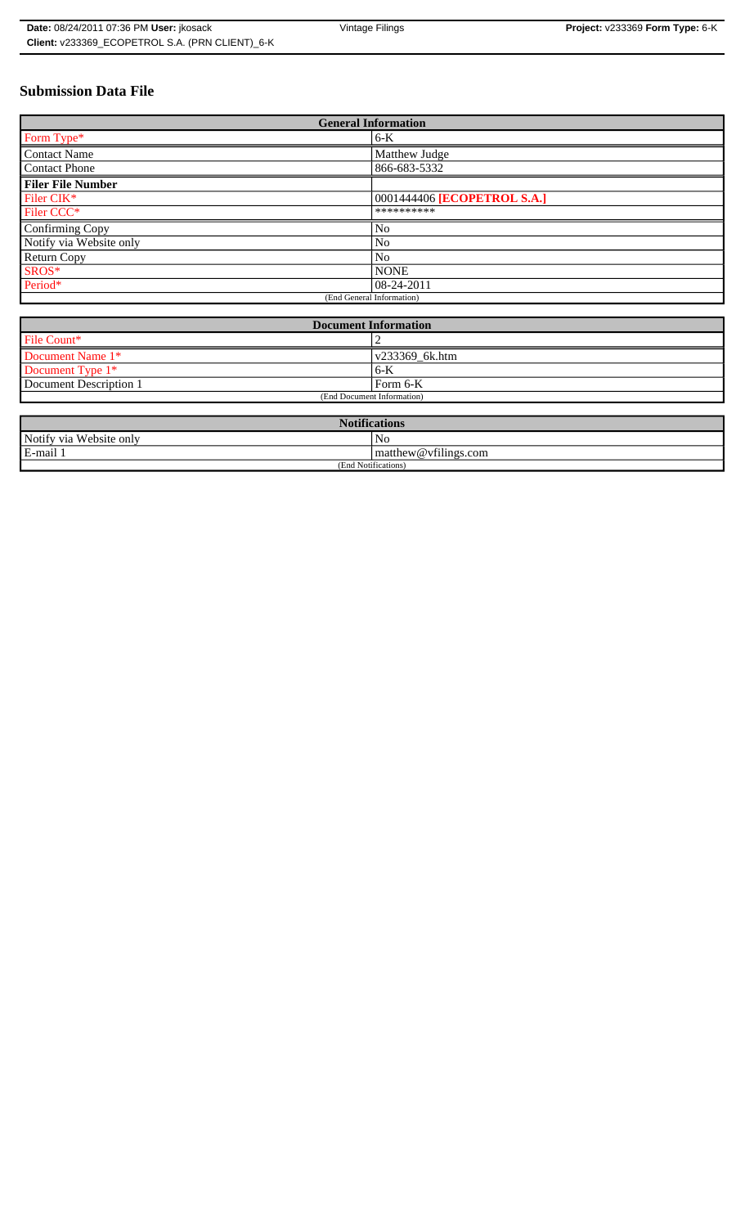# **Submission Data File**

| <b>General Information</b> |                             |
|----------------------------|-----------------------------|
| Form Type*                 | $6-K$                       |
| <b>Contact Name</b>        | Matthew Judge               |
| <b>Contact Phone</b>       | 866-683-5332                |
| <b>Filer File Number</b>   |                             |
| Filer CIK*                 | 0001444406 [ECOPETROL S.A.] |
| Filer CCC*                 | **********                  |
| Confirming Copy            | N <sub>0</sub>              |
| Notify via Website only    | No                          |
| Return Copy                | N <sub>0</sub>              |
| SROS*                      | <b>NONE</b>                 |
| Period*                    | 08-24-2011                  |
| (End General Information)  |                             |

| <b>Document Information</b> |                |
|-----------------------------|----------------|
| File Count*                 |                |
| Document Name 1*            | v233369 6k.htm |
| Document Type 1*            | $6 - K$        |
| Document Description 1      | Form 6-K       |
| (End Document Information)  |                |

| <b>Notifications</b>         |                      |
|------------------------------|----------------------|
| Notify via<br>u Website only | No                   |
| E-mail 1                     | matthew@vfilings.com |
| (End Notifications)          |                      |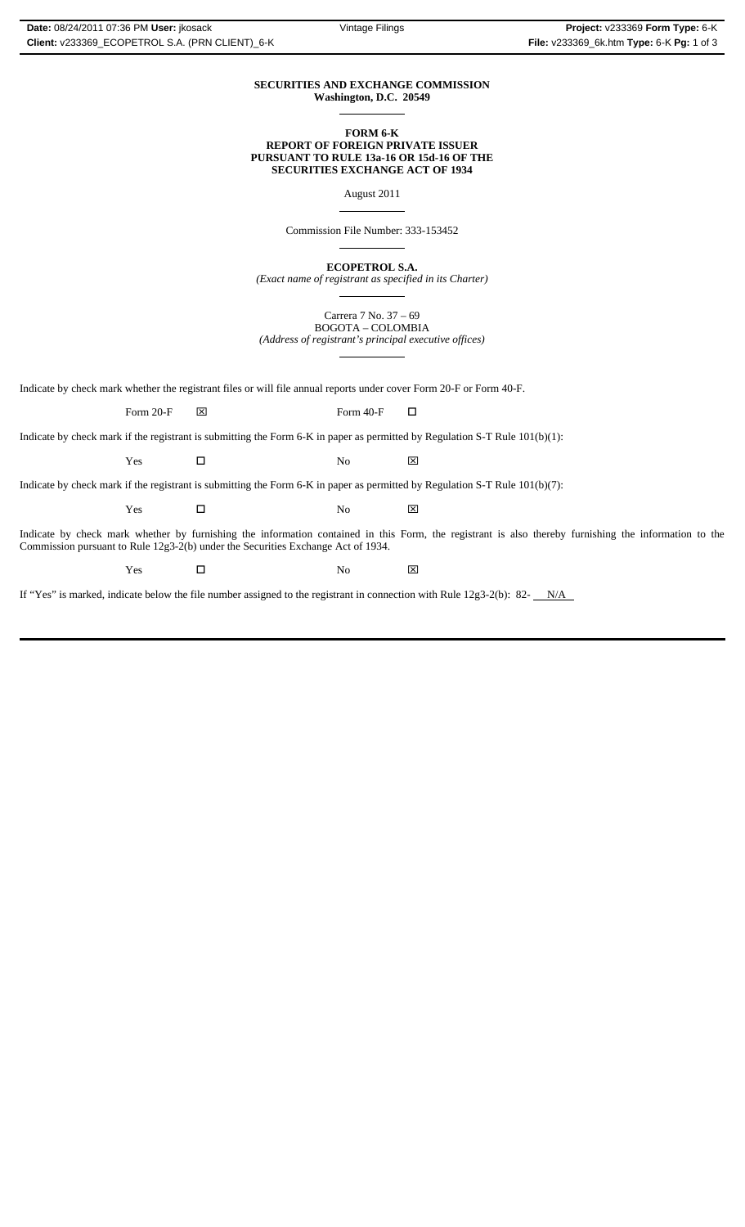#### **SECURITIES AND EXCHANGE COMMISSION Washington, D.C. 20549**  $\overline{a}$

## **FORM 6-K REPORT OF FOREIGN PRIVATE ISSUER PURSUANT TO RULE 13a-16 OR 15d-16 OF THE SECURITIES EXCHANGE ACT OF 1934**

August 2011

 $\overline{a}$ 

 $\overline{a}$ 

 $\overline{a}$ 

 $\overline{a}$ 

Commission File Number: 333-153452

**ECOPETROL S.A.**

*(Exact name of registrant as specified in its Charter)*

Carrera 7 No. 37 – 69 BOGOTA – COLOMBIA *(Address of registrant's principal executive offices)*

Indicate by check mark whether the registrant files or will file annual reports under cover Form 20-F or Form 40-F.

Form 20-F  $\boxtimes$  Form 40-F  $\Box$ 

Indicate by check mark if the registrant is submitting the Form 6-K in paper as permitted by Regulation S-T Rule 101(b)(1):

Yes □ No ⊠

Indicate by check mark if the registrant is submitting the Form 6-K in paper as permitted by Regulation S-T Rule 101(b)(7):

Yes □ No ⊠

Indicate by check mark whether by furnishing the information contained in this Form, the registrant is also thereby furnishing the information to the Commission pursuant to Rule 12g3-2(b) under the Securities Exchange Act of 1934.

 $Yes$   $\square$  No  $X$ 

If "Yes" is marked, indicate below the file number assigned to the registrant in connection with Rule  $12g3-2(b)$ : 82- $N/A$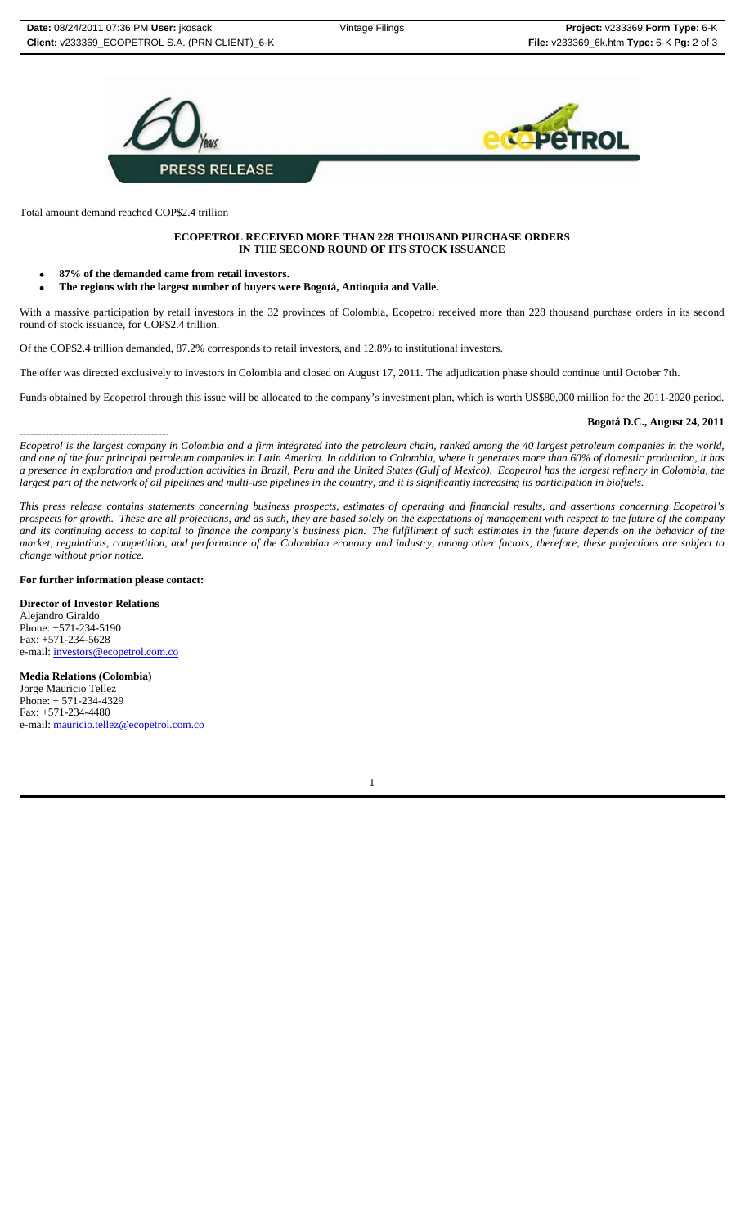



Total amount demand reached COP\$2.4 trillion

#### **ECOPETROL RECEIVED MORE THAN 228 THOUSAND PURCHASE ORDERS IN THE SECOND ROUND OF ITS STOCK ISSUANCE**

- **87% of the demanded came from retail investors.**
- **The regions with the largest number of buyers were Bogotá, Antioquia and Valle.**

With a massive participation by retail investors in the 32 provinces of Colombia, Ecopetrol received more than 228 thousand purchase orders in its second round of stock issuance, for COP\$2.4 trillion.

Of the COP\$2.4 trillion demanded, 87.2% corresponds to retail investors, and 12.8% to institutional investors.

The offer was directed exclusively to investors in Colombia and closed on August 17, 2011. The adjudication phase should continue until October 7th.

Funds obtained by Ecopetrol through this issue will be allocated to the company's investment plan, which is worth US\$80,000 million for the 2011-2020 period.

### **Bogotá D.C., August 24, 2011**

----------------------------------------- *Ecopetrol is the largest company in Colombia and a firm integrated into the petroleum chain, ranked among the 40 largest petroleum companies in the world, and one of the four principal petroleum companies in Latin America. In addition to Colombia, where it generates more than 60% of domestic production, it has a presence in exploration and production activities in Brazil, Peru and the United States (Gulf of Mexico). Ecopetrol has the largest refinery in Colombia, the largest part of the network of oil pipelines and multi-use pipelines in the country, and it is significantly increasing its participation in biofuels.*

*This press release contains statements concerning business prospects, estimates of operating and financial results, and assertions concerning Ecopetrol's prospects for growth. These are all projections, and as such, they are based solely on the expectations of management with respect to the future of the company and its continuing access to capital to finance the company's business plan. The fulfillment of such estimates in the future depends on the behavior of the market, regulations, competition, and performance of the Colombian economy and industry, among other factors; therefore, these projections are subject to change without prior notice.*

#### **For further information please contact:**

**Director of Investor Relations** Alejandro Giraldo Phone: +571-234-5190 Fax: +571-234-5628 e-mail: investors@ecopetrol.com.co

**Media Relations (Colombia)** Jorge Mauricio Tellez Phone: + 571-234-4329 Fax: +571-234-4480 e-mail: mauricio.tellez@ecopetrol.com.co